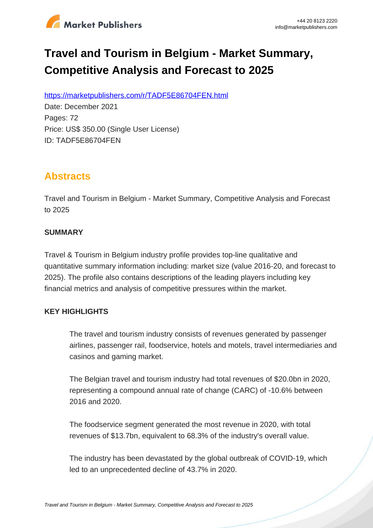

# **Travel and Tourism in Belgium - Market Summary, Competitive Analysis and Forecast to 2025**

https://marketpublishers.com/r/TADF5E86704FEN.html

Date: December 2021 Pages: 72 Price: US\$ 350.00 (Single User License) ID: TADF5E86704FEN

### **Abstracts**

Travel and Tourism in Belgium - Market Summary, Competitive Analysis and Forecast to 2025

#### **SUMMARY**

Travel & Tourism in Belgium industry profile provides top-line qualitative and quantitative summary information including: market size (value 2016-20, and forecast to 2025). The profile also contains descriptions of the leading players including key financial metrics and analysis of competitive pressures within the market.

#### **KEY HIGHLIGHTS**

The travel and tourism industry consists of revenues generated by passenger airlines, passenger rail, foodservice, hotels and motels, travel intermediaries and casinos and gaming market.

The Belgian travel and tourism industry had total revenues of \$20.0bn in 2020, representing a compound annual rate of change (CARC) of -10.6% between 2016 and 2020.

The foodservice segment generated the most revenue in 2020, with total revenues of \$13.7bn, equivalent to 68.3% of the industry's overall value.

The industry has been devastated by the global outbreak of COVID-19, which led to an unprecedented decline of 43.7% in 2020.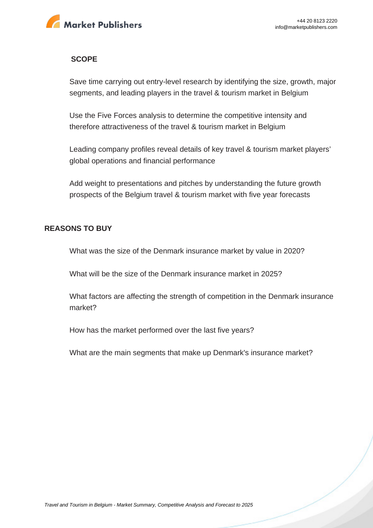

#### **SCOPE**

Save time carrying out entry-level research by identifying the size, growth, major segments, and leading players in the travel & tourism market in Belgium

Use the Five Forces analysis to determine the competitive intensity and therefore attractiveness of the travel & tourism market in Belgium

Leading company profiles reveal details of key travel & tourism market players' global operations and financial performance

Add weight to presentations and pitches by understanding the future growth prospects of the Belgium travel & tourism market with five year forecasts

#### **REASONS TO BUY**

What was the size of the Denmark insurance market by value in 2020?

What will be the size of the Denmark insurance market in 2025?

What factors are affecting the strength of competition in the Denmark insurance market?

How has the market performed over the last five years?

What are the main segments that make up Denmark's insurance market?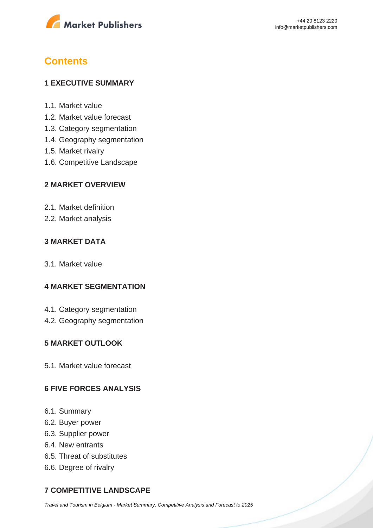

## **Contents**

#### **1 EXECUTIVE SUMMARY**

- 1.1. Market value
- 1.2. Market value forecast
- 1.3. Category segmentation
- 1.4. Geography segmentation
- 1.5. Market rivalry
- 1.6. Competitive Landscape

#### **2 MARKET OVERVIEW**

- 2.1. Market definition
- 2.2. Market analysis

#### **3 MARKET DATA**

3.1. Market value

#### **4 MARKET SEGMENTATION**

- 4.1. Category segmentation
- 4.2. Geography segmentation

#### **5 MARKET OUTLOOK**

5.1. Market value forecast

#### **6 FIVE FORCES ANALYSIS**

- 6.1. Summary
- 6.2. Buyer power
- 6.3. Supplier power
- 6.4. New entrants
- 6.5. Threat of substitutes
- 6.6. Degree of rivalry

### **7 COMPETITIVE LANDSCAPE**

[Travel and Tourism in Belgium - Market Summary, Competitive Analysis and Forecast to 2025](https://marketpublishers.com/report/services/travel-leisure/travel-n-tourism-in-belgium-market-summary-competitive-analysis-n-forecast-to-2025.html)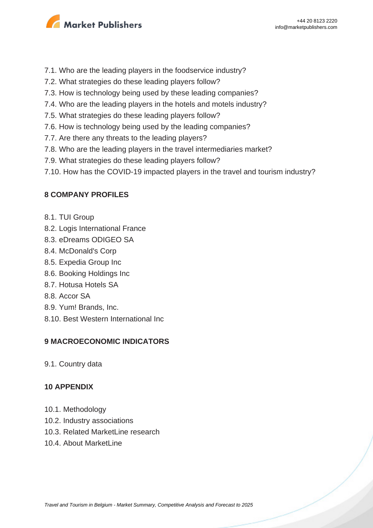

- 7.1. Who are the leading players in the foodservice industry?
- 7.2. What strategies do these leading players follow?
- 7.3. How is technology being used by these leading companies?
- 7.4. Who are the leading players in the hotels and motels industry?
- 7.5. What strategies do these leading players follow?
- 7.6. How is technology being used by the leading companies?
- 7.7. Are there any threats to the leading players?
- 7.8. Who are the leading players in the travel intermediaries market?
- 7.9. What strategies do these leading players follow?
- 7.10. How has the COVID-19 impacted players in the travel and tourism industry?

#### **8 COMPANY PROFILES**

- 8.1. TUI Group
- 8.2. Logis International France
- 8.3. eDreams ODIGEO SA
- 8.4. McDonald's Corp
- 8.5. Expedia Group Inc
- 8.6. Booking Holdings Inc
- 8.7. Hotusa Hotels SA
- 8.8. Accor SA
- 8.9. Yum! Brands, Inc.
- 8.10. Best Western International Inc

#### **9 MACROECONOMIC INDICATORS**

9.1. Country data

#### **10 APPENDIX**

- 10.1. Methodology
- 10.2. Industry associations
- 10.3. Related MarketLine research
- 10.4. About MarketLine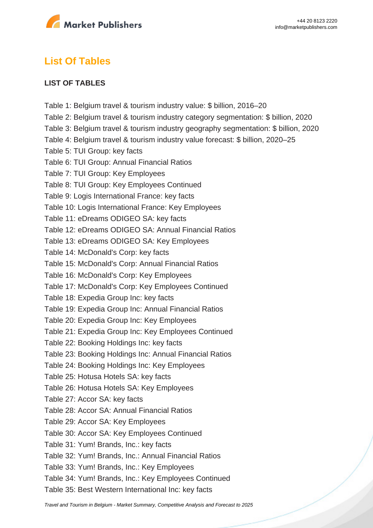

## **List Of Tables**

#### **LIST OF TABLES**

Table 1: Belgium travel & tourism industry value: \$ billion, 2016–20 Table 2: Belgium travel & tourism industry category segmentation: \$ billion, 2020 Table 3: Belgium travel & tourism industry geography segmentation: \$ billion, 2020 Table 4: Belgium travel & tourism industry value forecast: \$ billion, 2020–25 Table 5: TUI Group: key facts Table 6: TUI Group: Annual Financial Ratios Table 7: TUI Group: Key Employees Table 8: TUI Group: Key Employees Continued Table 9: Logis International France: key facts Table 10: Logis International France: Key Employees Table 11: eDreams ODIGEO SA: key facts Table 12: eDreams ODIGEO SA: Annual Financial Ratios Table 13: eDreams ODIGEO SA: Key Employees Table 14: McDonald's Corp: key facts Table 15: McDonald's Corp: Annual Financial Ratios Table 16: McDonald's Corp: Key Employees Table 17: McDonald's Corp: Key Employees Continued Table 18: Expedia Group Inc: key facts Table 19: Expedia Group Inc: Annual Financial Ratios Table 20: Expedia Group Inc: Key Employees Table 21: Expedia Group Inc: Key Employees Continued Table 22: Booking Holdings Inc: key facts Table 23: Booking Holdings Inc: Annual Financial Ratios Table 24: Booking Holdings Inc: Key Employees Table 25: Hotusa Hotels SA: key facts Table 26: Hotusa Hotels SA: Key Employees Table 27: Accor SA: key facts Table 28: Accor SA: Annual Financial Ratios Table 29: Accor SA: Key Employees Table 30: Accor SA: Key Employees Continued Table 31: Yum! Brands, Inc.: key facts Table 32: Yum! Brands, Inc.: Annual Financial Ratios Table 33: Yum! Brands, Inc.: Key Employees Table 34: Yum! Brands, Inc.: Key Employees Continued Table 35: Best Western International Inc: key facts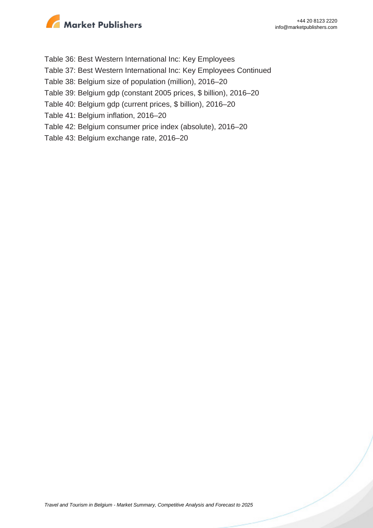

- Table 36: Best Western International Inc: Key Employees
- Table 37: Best Western International Inc: Key Employees Continued
- Table 38: Belgium size of population (million), 2016–20
- Table 39: Belgium gdp (constant 2005 prices, \$ billion), 2016–20
- Table 40: Belgium gdp (current prices, \$ billion), 2016–20
- Table 41: Belgium inflation, 2016–20
- Table 42: Belgium consumer price index (absolute), 2016–20
- Table 43: Belgium exchange rate, 2016–20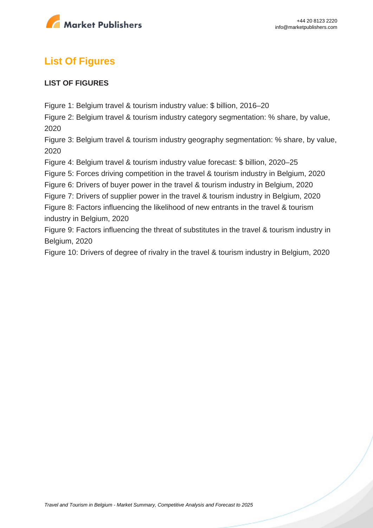

# **List Of Figures**

#### **LIST OF FIGURES**

Figure 1: Belgium travel & tourism industry value: \$ billion, 2016–20

Figure 2: Belgium travel & tourism industry category segmentation: % share, by value, 2020

Figure 3: Belgium travel & tourism industry geography segmentation: % share, by value, 2020

Figure 4: Belgium travel & tourism industry value forecast: \$ billion, 2020–25

Figure 5: Forces driving competition in the travel & tourism industry in Belgium, 2020

Figure 6: Drivers of buyer power in the travel & tourism industry in Belgium, 2020

Figure 7: Drivers of supplier power in the travel & tourism industry in Belgium, 2020

Figure 8: Factors influencing the likelihood of new entrants in the travel & tourism industry in Belgium, 2020

Figure 9: Factors influencing the threat of substitutes in the travel & tourism industry in Belgium, 2020

Figure 10: Drivers of degree of rivalry in the travel & tourism industry in Belgium, 2020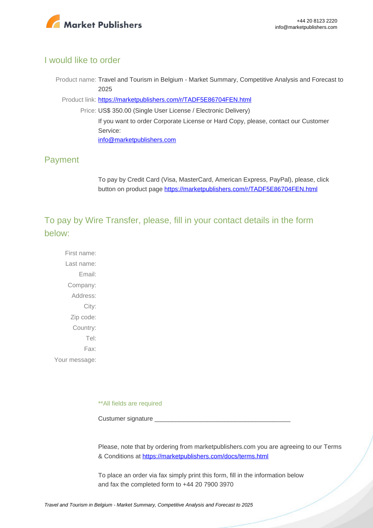

#### I would like to order

Product name: Travel and Tourism in Belgium - Market Summary, Competitive Analysis and Forecast to 2025

Product link: [https://marketpublishers.com/r/TADF5E86704FEN.html](https://marketpublishers.com/report/services/travel-leisure/travel-n-tourism-in-belgium-market-summary-competitive-analysis-n-forecast-to-2025.html)

Price: US\$ 350.00 (Single User License / Electronic Delivery) If you want to order Corporate License or Hard Copy, please, contact our Customer Service: [info@marketpublishers.com](mailto:info@marketpublishers.com)

### Payment

To pay by Credit Card (Visa, MasterCard, American Express, PayPal), please, click button on product page [https://marketpublishers.com/r/TADF5E86704FEN.html](https://marketpublishers.com/report/services/travel-leisure/travel-n-tourism-in-belgium-market-summary-competitive-analysis-n-forecast-to-2025.html)

To pay by Wire Transfer, please, fill in your contact details in the form below:

First name: Last name: Email: Company: Address: City: Zip code: Country: Tel: Fax: Your message:

\*\*All fields are required

Custumer signature

Please, note that by ordering from marketpublishers.com you are agreeing to our Terms & Conditions at<https://marketpublishers.com/docs/terms.html>

To place an order via fax simply print this form, fill in the information below and fax the completed form to +44 20 7900 3970